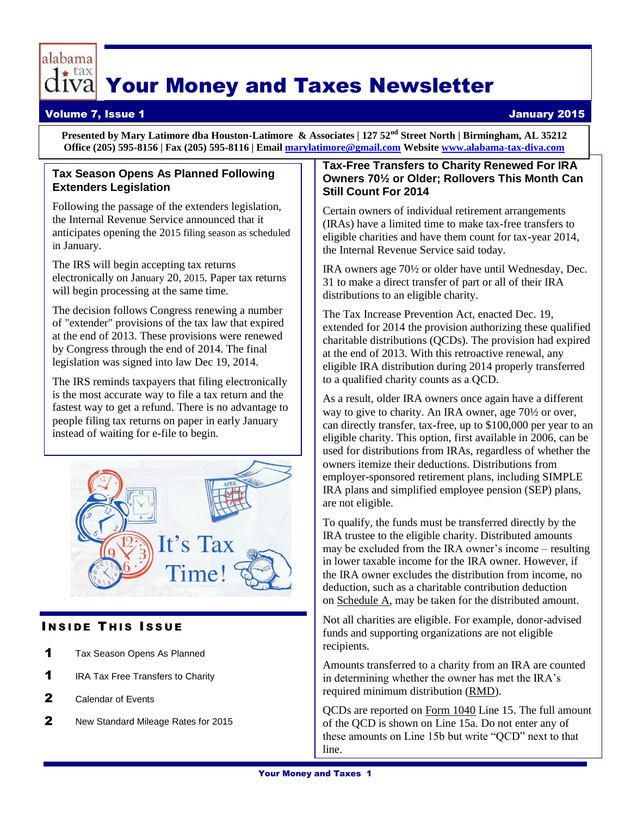

# Your Money and Taxes Newsletter

# Volume 7, Issue 1 January 2015

**Presented by Mary Latimore dba Houston-Latimore & Associates | 127 52nd Street North | Birmingham, AL 35212 Office (205) 595-8156 | Fax (205) 595-8116 | Emai[l marylatimore@gmail.com](mailto:marylatimore@gmail.com) Website [www.alabama-tax-diva.com](http://www.alabama-tax-diva.com/)**

# **Tax Season Opens As Planned Following Extenders Legislation**

Following the passage of the extenders legislation, the Internal Revenue Service announced that it anticipates opening the 2015 filing season as scheduled in January.

The IRS will begin accepting tax returns electronically on January 20, 2015. Paper tax returns will begin processing at the same time.

The decision follows Congress renewing a number of "extender" provisions of the tax law that expired at the end of 2013. These provisions were renewed by Congress through the end of 2014. The final legislation was signed into law Dec 19, 2014.

The IRS reminds taxpayers that filing electronically is the most accurate way to file a tax return and the fastest way to get a refund. There is no advantage to people filing tax returns on paper in early January instead of waiting for e-file to begin.



# **INSIDE THIS ISSUE**

- 1 Tax Season Opens As Planned
- **1** IRA Tax Free Transfers to Charity
- 2 Calendar of Events
- 2 New Standard Mileage Rates for 2015

# **Tax-Free Transfers to Charity Renewed For IRA Owners 70½ or Older; Rollovers This Month Can Still Count For 2014**

Certain owners of individual retirement arrangements (IRAs) have a limited time to make tax-free transfers to eligible charities and have them count for tax-year 2014, the Internal Revenue Service said today.

IRA owners age 70½ or older have until Wednesday, Dec. 31 to make a direct transfer of part or all of their IRA distributions to an eligible charity.

The Tax Increase Prevention Act, enacted Dec. 19, extended for 2014 the provision authorizing these qualified charitable distributions (QCDs). The provision had expired at the end of 2013. With this retroactive renewal, any eligible IRA distribution during 2014 properly transferred to a qualified charity counts as a QCD.

As a result, older IRA owners once again have a different way to give to charity. An IRA owner, age 70½ or over, can directly transfer, tax-free, up to \$100,000 per year to an eligible charity. This option, first available in 2006, can be used for distributions from IRAs, regardless of whether the owners itemize their deductions. Distributions from employer-sponsored retirement plans, including SIMPLE IRA plans and simplified employee pension (SEP) plans, are not eligible.

To qualify, the funds must be transferred directly by the IRA trustee to the eligible charity. Distributed amounts may be excluded from the IRA owner's income – resulting in lower taxable income for the IRA owner. However, if the IRA owner excludes the distribution from income, no deduction, such as a charitable contribution deduction on [Schedule A,](http://www.irs.gov/uac/Schedule-A-(Form-1040),-Itemized-Deductions) may be taken for the distributed amount.

Not all charities are eligible. For example, donor-advised funds and supporting organizations are not eligible recipients.

Amounts transferred to a charity from an IRA are counted in determining whether the owner has met the IRA's required minimum distribution [\(RMD\)](http://www.irs.gov/uac/Newsroom/Most-Retirees-Need-to-Take-Required-Retirement-Plan-Distributions-by-Dec.-31).

QCDs are reported on [Form 1040](http://www.irs.gov/uac/Form-1040,-U.S.-Individual-Income-Tax-Return) Line 15. The full amount of the QCD is shown on Line 15a. Do not enter any of these amounts on Line 15b but write "QCD" next to that line.